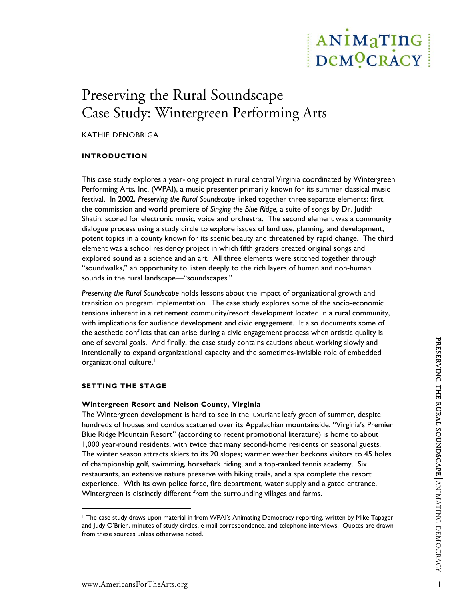# ANIMaTING DeMOCRACY

# Preserving the Rural Soundscape Case Study: Wintergreen Performing Arts

# KATHIE DENOBRIGA

# **INTRODUCTION**

This case study explores a year-long project in rural central Virginia coordinated by Wintergreen Performing Arts, Inc. (WPAI), a music presenter primarily known for its summer classical music festival. In 2002, *Preserving the Rural Soundscape* linked together three separate elements: first, the commission and world premiere of *Singing the Blue Ridge,* a suite of songs by Dr. Judith Shatin, scored for electronic music, voice and orchestra. The second element was a community dialogue process using a study circle to explore issues of land use, planning, and development, potent topics in a county known for its scenic beauty and threatened by rapid change. The third element was a school residency project in which fifth graders created original songs and explored sound as a science and an art. All three elements were stitched together through "soundwalks," an opportunity to listen deeply to the rich layers of human and non-human sounds in the rural landscape—"soundscapes."

*Preserving the Rural Soundscape* holds lessons about the impact of organizational growth and transition on program implementation. The case study explores some of the socio-economic tensions inherent in a retirement community/resort development located in a rural community, with implications for audience development and civic engagement. It also documents some of the aesthetic conflicts that can arise during a civic engagement process when artistic quality is one of several goals. And finally, the case study contains cautions about working slowly and intentionally to expand organizational capacity and the sometimes-invisible role of embedded organizational culture.<sup>[1](#page-0-0)</sup>

# **SETTING THE STAGE**

 $\overline{a}$ 

# **Wintergreen Resort and Nelson County, Virginia**

The Wintergreen development is hard to see in the luxuriant leafy green of summer, despite hundreds of houses and condos scattered over its Appalachian mountainside. "Virginia's Premier Blue Ridge Mountain Resort" (according to recent promotional literature) is home to about 1,000 year-round residents, with twice that many second-home residents or seasonal guests. The winter season attracts skiers to its 20 slopes; warmer weather beckons visitors to 45 holes of championship golf, swimming, horseback riding, and a top-ranked tennis academy. Six restaurants, an extensive nature preserve with hiking trails, and a spa complete the resort experience. With its own police force, fire department, water supply and a gated entrance, Wintergreen is distinctly different from the surrounding villages and farms.

<span id="page-0-0"></span><sup>1</sup> The case study draws upon material in from WPAI's Animating Democracy reporting, written by Mike Tapager and Judy O'Brien, minutes of study circles, e-mail correspondence, and telephone interviews. Quotes are drawn from these sources unless otherwise noted.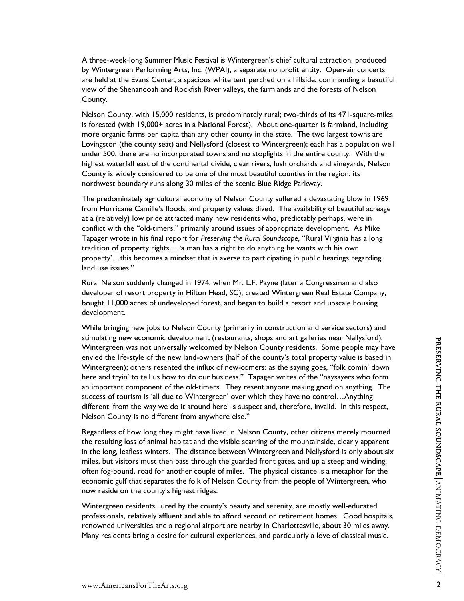A three-week-long Summer Music Festival is Wintergreen's chief cultural attraction, produced by Wintergreen Performing Arts, Inc. (WPAI), a separate nonprofit entity. Open-air concerts are held at the Evans Center, a spacious white tent perched on a hillside, commanding a beautiful view of the Shenandoah and Rockfish River valleys, the farmlands and the forests of Nelson County.

Nelson County, with 15,000 residents, is predominately rural; two-thirds of its 471-square-miles is forested (with 19,000+ acres in a National Forest). About one-quarter is farmland, including more organic farms per capita than any other county in the state. The two largest towns are Lovingston (the county seat) and Nellysford (closest to Wintergreen); each has a population well under 500; there are no incorporated towns and no stoplights in the entire county. With the highest waterfall east of the continental divide, clear rivers, lush orchards and vineyards, Nelson County is widely considered to be one of the most beautiful counties in the region: its northwest boundary runs along 30 miles of the scenic Blue Ridge Parkway.

The predominately agricultural economy of Nelson County suffered a devastating blow in 1969 from Hurricane Camille's floods, and property values dived. The availability of beautiful acreage at a (relatively) low price attracted many new residents who, predictably perhaps, were in conflict with the "old-timers," primarily around issues of appropriate development. As Mike Tapager wrote in his final report for *Preserving the Rural Soundscape*, "Rural Virginia has a long tradition of property rights… 'a man has a right to do anything he wants with his own property'…this becomes a mindset that is averse to participating in public hearings regarding land use issues."

Rural Nelson suddenly changed in 1974, when Mr. L.F. Payne (later a Congressman and also developer of resort property in Hilton Head, SC), created Wintergreen Real Estate Company, bought 11,000 acres of undeveloped forest, and began to build a resort and upscale housing development.

While bringing new jobs to Nelson County (primarily in construction and service sectors) and stimulating new economic development (restaurants, shops and art galleries near Nellysford), Wintergreen was not universally welcomed by Nelson County residents. Some people may have envied the life-style of the new land-owners (half of the county's total property value is based in Wintergreen); others resented the influx of new-comers: as the saying goes, "folk comin' down here and tryin' to tell us how to do our business." Tapager writes of the "naysayers who form an important component of the old-timers. They resent anyone making good on anything. The success of tourism is 'all due to Wintergreen' over which they have no control…Anything different 'from the way we do it around here' is suspect and, therefore, invalid. In this respect, Nelson County is no different from anywhere else."

Regardless of how long they might have lived in Nelson County, other citizens merely mourned the resulting loss of animal habitat and the visible scarring of the mountainside, clearly apparent in the long, leafless winters. The distance between Wintergreen and Nellysford is only about six miles, but visitors must then pass through the guarded front gates, and up a steep and winding, often fog-bound, road for another couple of miles. The physical distance is a metaphor for the economic gulf that separates the folk of Nelson County from the people of Wintergreen, who now reside on the county's highest ridges.

Wintergreen residents, lured by the county's beauty and serenity, are mostly well-educated professionals, relatively affluent and able to afford second or retirement homes. Good hospitals, renowned universities and a regional airport are nearby in Charlottesville, about 30 miles away. Many residents bring a desire for cultural experiences, and particularly a love of classical music.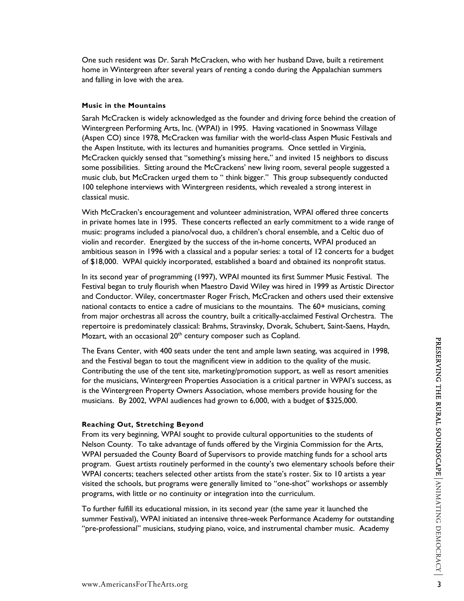One such resident was Dr. Sarah McCracken, who with her husband Dave, built a retirement home in Wintergreen after several years of renting a condo during the Appalachian summers and falling in love with the area.

#### **Music in the Mountains**

Sarah McCracken is widely acknowledged as the founder and driving force behind the creation of Wintergreen Performing Arts, Inc. (WPAI) in 1995. Having vacationed in Snowmass Village (Aspen CO) since 1978, McCracken was familiar with the world-class Aspen Music Festivals and the Aspen Institute, with its lectures and humanities programs. Once settled in Virginia, McCracken quickly sensed that "something's missing here," and invited 15 neighbors to discuss some possibilities. Sitting around the McCrackens' new living room, several people suggested a music club, but McCracken urged them to " think bigger." This group subsequently conducted 100 telephone interviews with Wintergreen residents, which revealed a strong interest in classical music.

With McCracken's encouragement and volunteer administration, WPAI offered three concerts in private homes late in 1995. These concerts reflected an early commitment to a wide range of music: programs included a piano/vocal duo, a children's choral ensemble, and a Celtic duo of violin and recorder. Energized by the success of the in-home concerts, WPAI produced an ambitious season in 1996 with a classical and a popular series: a total of 12 concerts for a budget of \$18,000. WPAI quickly incorporated, established a board and obtained its nonprofit status.

In its second year of programming (1997), WPAI mounted its first Summer Music Festival. The Festival began to truly flourish when Maestro David Wiley was hired in 1999 as Artistic Director and Conductor. Wiley, concertmaster Roger Frisch, McCracken and others used their extensive national contacts to entice a cadre of musicians to the mountains. The 60+ musicians, coming from major orchestras all across the country, built a critically-acclaimed Festival Orchestra. The repertoire is predominately classical: Brahms, Stravinsky, Dvorak, Schubert, Saint-Saens, Haydn, Mozart, with an occasional 20<sup>th</sup> century composer such as Copland.

The Evans Center, with 400 seats under the tent and ample lawn seating, was acquired in 1998, and the Festival began to tout the magnificent view in addition to the quality of the music. Contributing the use of the tent site, marketing/promotion support, as well as resort amenities for the musicians, Wintergreen Properties Association is a critical partner in WPAI's success, as is the Wintergreen Property Owners Association, whose members provide housing for the musicians. By 2002, WPAI audiences had grown to 6,000, with a budget of \$325,000.

#### **Reaching Out, Stretching Beyond**

From its very beginning, WPAI sought to provide cultural opportunities to the students of Nelson County. To take advantage of funds offered by the Virginia Commission for the Arts, WPAI persuaded the County Board of Supervisors to provide matching funds for a school arts program. Guest artists routinely performed in the county's two elementary schools before their WPAI concerts; teachers selected other artists from the state's roster. Six to 10 artists a year visited the schools, but programs were generally limited to "one-shot" workshops or assembly programs, with little or no continuity or integration into the curriculum.

To further fulfill its educational mission, in its second year (the same year it launched the summer Festival), WPAI initiated an intensive three-week Performance Academy for outstanding "pre-professional" musicians, studying piano, voice, and instrumental chamber music. Academy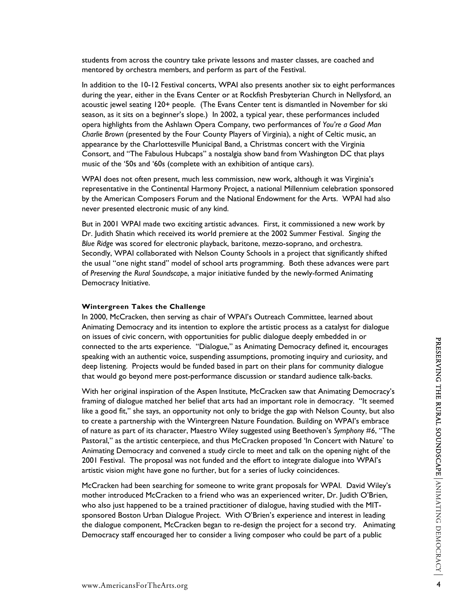students from across the country take private lessons and master classes, are coached and mentored by orchestra members, and perform as part of the Festival.

In addition to the 10-12 Festival concerts, WPAI also presents another six to eight performances during the year, either in the Evans Center or at Rockfish Presbyterian Church in Nellysford, an acoustic jewel seating 120+ people. (The Evans Center tent is dismantled in November for ski season, as it sits on a beginner's slope.) In 2002, a typical year, these performances included opera highlights from the Ashlawn Opera Company, two performances of *You're a Good Man Charlie Brown* (presented by the Four County Players of Virginia), a night of Celtic music, an appearance by the Charlottesville Municipal Band, a Christmas concert with the Virginia Consort, and "The Fabulous Hubcaps" a nostalgia show band from Washington DC that plays music of the '50s and '60s (complete with an exhibition of antique cars).

WPAI does not often present, much less commission, new work, although it was Virginia's representative in the Continental Harmony Project, a national Millennium celebration sponsored by the American Composers Forum and the National Endowment for the Arts. WPAI had also never presented electronic music of any kind.

But in 2001 WPAI made two exciting artistic advances. First, it commissioned a new work by Dr. Judith Shatin which received its world premiere at the 2002 Summer Festival. *Singing the Blue Ridge* was scored for electronic playback, baritone, mezzo-soprano, and orchestra. Secondly, WPAI collaborated with Nelson County Schools in a project that significantly shifted the usual "one night stand" model of school arts programming. Both these advances were part of *Preserving the Rural Soundscape*, a major initiative funded by the newly-formed Animating Democracy Initiative.

#### **Wintergreen Takes the Challenge**

In 2000, McCracken, then serving as chair of WPAI's Outreach Committee, learned about Animating Democracy and its intention to explore the artistic process as a catalyst for dialogue on issues of civic concern, with opportunities for public dialogue deeply embedded in or connected to the arts experience. "Dialogue," as Animating Democracy defined it, encourages speaking with an authentic voice, suspending assumptions, promoting inquiry and curiosity, and deep listening. Projects would be funded based in part on their plans for community dialogue that would go beyond mere post-performance discussion or standard audience talk-backs.

With her original inspiration of the Aspen Institute, McCracken saw that Animating Democracy's framing of dialogue matched her belief that arts had an important role in democracy. "It seemed like a good fit," she says, an opportunity not only to bridge the gap with Nelson County, but also to create a partnership with the Wintergreen Nature Foundation. Building on WPAI's embrace of nature as part of its character, Maestro Wiley suggested using Beethoven's *Symphony #6*, "The Pastoral," as the artistic centerpiece, and thus McCracken proposed 'In Concert with Nature' to Animating Democracy and convened a study circle to meet and talk on the opening night of the 2001 Festival. The proposal was not funded and the effort to integrate dialogue into WPAI's artistic vision might have gone no further, but for a series of lucky coincidences.

McCracken had been searching for someone to write grant proposals for WPAI. David Wiley's mother introduced McCracken to a friend who was an experienced writer, Dr. Judith O'Brien, who also just happened to be a trained practitioner of dialogue, having studied with the MITsponsored Boston Urban Dialogue Project. With O'Brien's experience and interest in leading the dialogue component, McCracken began to re-design the project for a second try. Animating Democracy staff encouraged her to consider a living composer who could be part of a public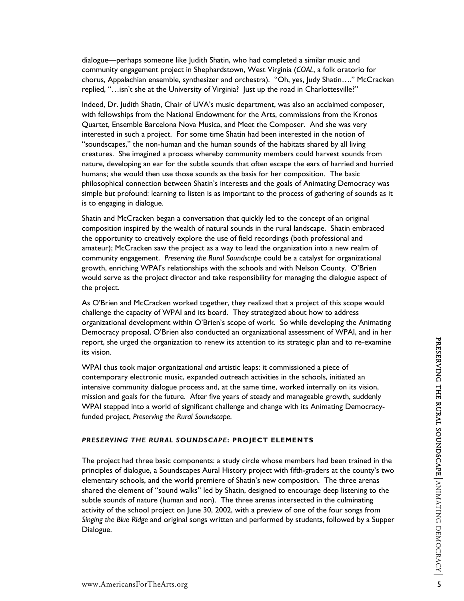dialogue—perhaps someone like Judith Shatin, who had completed a similar music and community engagement project in Shephardstown, West Virginia (*COAL*, a folk oratorio for chorus, Appalachian ensemble, synthesizer and orchestra). "Oh, yes, Judy Shatin…." McCracken replied, "...isn't she at the University of Virginia? Just up the road in Charlottesville?"

Indeed, Dr. Judith Shatin, Chair of UVA's music department, was also an acclaimed composer, with fellowships from the National Endowment for the Arts, commissions from the Kronos Quartet, Ensemble Barcelona Nova Musica, and Meet the Composer. And she was very interested in such a project. For some time Shatin had been interested in the notion of "soundscapes," the non-human and the human sounds of the habitats shared by all living creatures. She imagined a process whereby community members could harvest sounds from nature, developing an ear for the subtle sounds that often escape the ears of harried and hurried humans; she would then use those sounds as the basis for her composition. The basic philosophical connection between Shatin's interests and the goals of Animating Democracy was simple but profound: learning to listen is as important to the process of gathering of sounds as it is to engaging in dialogue.

Shatin and McCracken began a conversation that quickly led to the concept of an original composition inspired by the wealth of natural sounds in the rural landscape. Shatin embraced the opportunity to creatively explore the use of field recordings (both professional and amateur); McCracken saw the project as a way to lead the organization into a new realm of community engagement. *Preserving the Rural Soundscape* could be a catalyst for organizational growth, enriching WPAI's relationships with the schools and with Nelson County. O'Brien would serve as the project director and take responsibility for managing the dialogue aspect of the project.

As O'Brien and McCracken worked together, they realized that a project of this scope would challenge the capacity of WPAI and its board. They strategized about how to address organizational development within O'Brien's scope of work. So while developing the Animating Democracy proposal, O'Brien also conducted an organizational assessment of WPAI, and in her report, she urged the organization to renew its attention to its strategic plan and to re-examine its vision.

WPAI thus took major organizational *and* artistic leaps: it commissioned a piece of contemporary electronic music, expanded outreach activities in the schools, initiated an intensive community dialogue process and, at the same time, worked internally on its vision, mission and goals for the future. After five years of steady and manageable growth, suddenly WPAI stepped into a world of significant challenge and change with its Animating Democracyfunded project, *Preserving the Rural Soundscape*.

# *PRESERVING THE RURAL SOUNDSCAPE***: PROJECT ELEMENTS**

The project had three basic components: a study circle whose members had been trained in the principles of dialogue, a Soundscapes Aural History project with fifth-graders at the county's two elementary schools, and the world premiere of Shatin's new composition. The three arenas shared the element of "sound walks" led by Shatin, designed to encourage deep listening to the subtle sounds of nature (human and non). The three arenas intersected in the culminating activity of the school project on June 30, 2002, with a preview of one of the four songs from *Singing the Blue Ridge* and original songs written and performed by students, followed by a Supper Dialogue.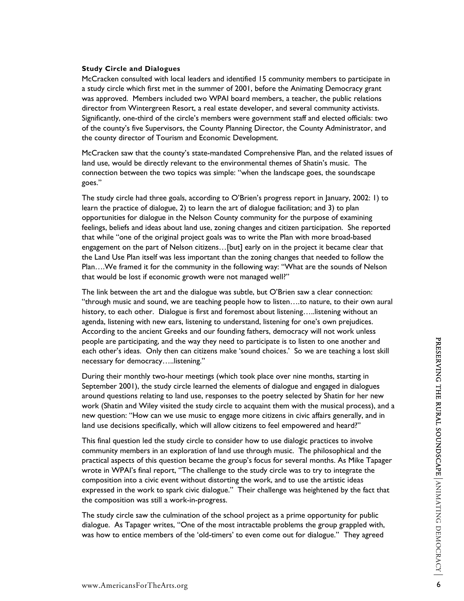McCracken consulted with local leaders and identified 15 community members to participate in a study circle which first met in the summer of 2001, before the Animating Democracy grant was approved. Members included two WPAI board members, a teacher, the public relations director from Wintergreen Resort, a real estate developer, and several community activists. Significantly, one-third of the circle's members were government staff and elected officials: two of the county's five Supervisors, the County Planning Director, the County Administrator, and the county director of Tourism and Economic Development.

McCracken saw that the county's state-mandated Comprehensive Plan, and the related issues of land use, would be directly relevant to the environmental themes of Shatin's music. The connection between the two topics was simple: "when the landscape goes, the soundscape goes."

The study circle had three goals, according to O'Brien's progress report in January, 2002: 1) to learn the practice of dialogue, 2) to learn the art of dialogue facilitation; and 3) to plan opportunities for dialogue in the Nelson County community for the purpose of examining feelings, beliefs and ideas about land use, zoning changes and citizen participation. She reported that while "one of the original project goals was to write the Plan with more broad-based engagement on the part of Nelson citizens…[but] early on in the project it became clear that the Land Use Plan itself was less important than the zoning changes that needed to follow the Plan….We framed it for the community in the following way: "What are the sounds of Nelson that would be lost if economic growth were not managed well?"

The link between the art and the dialogue was subtle, but O'Brien saw a clear connection: "through music and sound, we are teaching people how to listen….to nature, to their own aural history, to each other. Dialogue is first and foremost about listening.....listening without an agenda, listening with new ears, listening to understand, listening for one's own prejudices. According to the ancient Greeks and our founding fathers, democracy will not work unless people are participating, and the way they need to participate is to listen to one another and each other's ideas. Only then can citizens make 'sound choices.' So we are teaching a lost skill necessary for democracy…..listening."

During their monthly two-hour meetings (which took place over nine months, starting in September 2001), the study circle learned the elements of dialogue and engaged in dialogues around questions relating to land use, responses to the poetry selected by Shatin for her new work (Shatin and Wiley visited the study circle to acquaint them with the musical process), and a new question: "How can we use music to engage more citizens in civic affairs generally, and in land use decisions specifically, which will allow citizens to feel empowered and heard?"

This final question led the study circle to consider how to use dialogic practices to involve community members in an exploration of land use through music. The philosophical and the practical aspects of this question became the group's focus for several months. As Mike Tapager wrote in WPAI's final report, "The challenge to the study circle was to try to integrate the composition into a civic event without distorting the work, and to use the artistic ideas expressed in the work to spark civic dialogue." Their challenge was heightened by the fact that the composition was still a work-in-progress.

The study circle saw the culmination of the school project as a prime opportunity for public dialogue. As Tapager writes, "One of the most intractable problems the group grappled with, was how to entice members of the 'old-timers' to even come out for dialogue." They agreed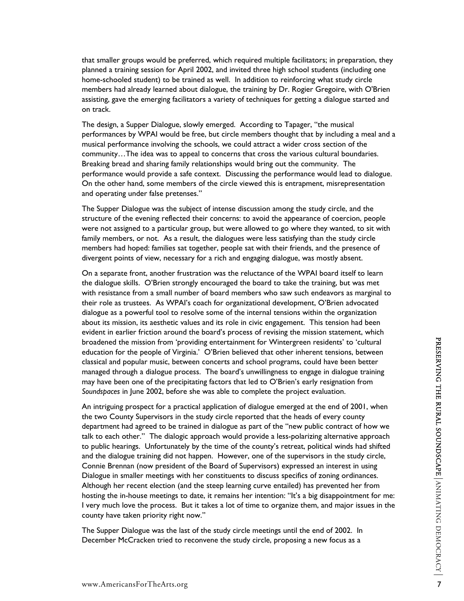that smaller groups would be preferred, which required multiple facilitators; in preparation, they planned a training session for April 2002, and invited three high school students (including one home-schooled student) to be trained as well. In addition to reinforcing what study circle members had already learned about dialogue, the training by Dr. Rogier Gregoire, with O'Brien assisting, gave the emerging facilitators a variety of techniques for getting a dialogue started and on track.

The design, a Supper Dialogue, slowly emerged. According to Tapager, "the musical performances by WPAI would be free, but circle members thought that by including a meal and a musical performance involving the schools, we could attract a wider cross section of the community…The idea was to appeal to concerns that cross the various cultural boundaries. Breaking bread and sharing family relationships would bring out the community. The performance would provide a safe context. Discussing the performance would lead to dialogue. On the other hand, some members of the circle viewed this is entrapment, misrepresentation and operating under false pretenses."

The Supper Dialogue was the subject of intense discussion among the study circle, and the structure of the evening reflected their concerns: to avoid the appearance of coercion, people were not assigned to a particular group, but were allowed to go where they wanted, to sit with family members, or not. As a result, the dialogues were less satisfying than the study circle members had hoped: families sat together, people sat with their friends, and the presence of divergent points of view, necessary for a rich and engaging dialogue, was mostly absent.

On a separate front, another frustration was the reluctance of the WPAI board itself to learn the dialogue skills. O'Brien strongly encouraged the board to take the training, but was met with resistance from a small number of board members who saw such endeavors as marginal to their role as trustees. As WPAI's coach for organizational development, O'Brien advocated dialogue as a powerful tool to resolve some of the internal tensions within the organization about its mission, its aesthetic values and its role in civic engagement. This tension had been evident in earlier friction around the board's process of revising the mission statement, which broadened the mission from 'providing entertainment for Wintergreen residents' to 'cultural education for the people of Virginia.' O'Brien believed that other inherent tensions, between classical and popular music, between concerts and school programs, could have been better managed through a dialogue process. The board's unwillingness to engage in dialogue training may have been one of the precipitating factors that led to O'Brien's early resignation from *Soundspaces* in June 2002, before she was able to complete the project evaluation.

An intriguing prospect for a practical application of dialogue emerged at the end of 2001, when the two County Supervisors in the study circle reported that the heads of every county department had agreed to be trained in dialogue as part of the "new public contract of how we talk to each other." The dialogic approach would provide a less-polarizing alternative approach to public hearings. Unfortunately by the time of the county's retreat, political winds had shifted and the dialogue training did not happen. However, one of the supervisors in the study circle, Connie Brennan (now president of the Board of Supervisors) expressed an interest in using Dialogue in smaller meetings with her constituents to discuss specifics of zoning ordinances. Although her recent election (and the steep learning curve entailed) has prevented her from hosting the in-house meetings to date, it remains her intention: "It's a big disappointment for me: I very much love the process. But it takes a lot of time to organize them, and major issues in the county have taken priority right now."

The Supper Dialogue was the last of the study circle meetings until the end of 2002. In December McCracken tried to reconvene the study circle, proposing a new focus as a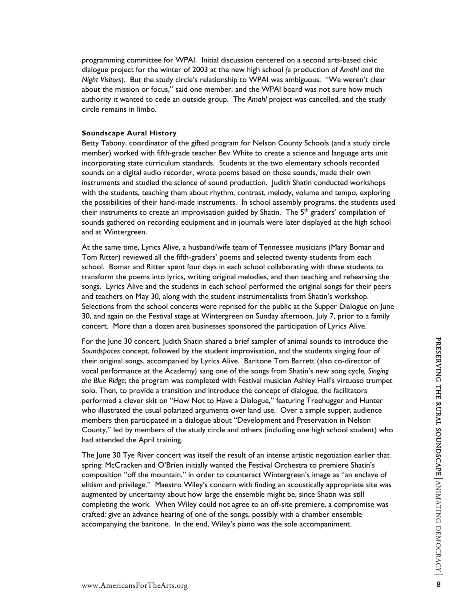programming committee for WPAI. Initial discussion centered on a second arts-based civic dialogue project for the winter of 2003 at the new high school *(*a production of *Amahl and the Night Visitors*). But the study circle's relationship to WPAI was ambiguous. "We weren't clear about the mission or focus," said one member, and the WPAI board was not sure how much authority it wanted to cede an outside group. The *Amahl* project was cancelled, and the study circle remains in limbo.

## **Soundscape Aural History**

Betty Tabony, coordinator of the gifted program for Nelson County Schools (and a study circle member) worked with fifth-grade teacher Bev White to create a science and language arts unit incorporating state curriculum standards. Students at the two elementary schools recorded sounds on a digital audio recorder, wrote poems based on those sounds, made their own instruments and studied the science of sound production. Judith Shatin conducted workshops with the students, teaching them about rhythm, contrast, melody, volume and tempo, exploring the possibilities of their hand-made instruments. In school assembly programs, the students used their instruments to create an improvisation guided by Shatin. The 5<sup>th</sup> graders' compilation of sounds gathered on recording equipment and in journals were later displayed at the high school and at Wintergreen.

At the same time, Lyrics Alive, a husband/wife team of Tennessee musicians (Mary Bomar and Tom Ritter) reviewed all the fifth-graders' poems and selected twenty students from each school. Bomar and Ritter spent four days in each school collaborating with these students to transform the poems into lyrics, writing original melodies, and then teaching and rehearsing the songs. Lyrics Alive and the students in each school performed the original songs for their peers and teachers on May 30, along with the student instrumentalists from Shatin's workshop. Selections from the school concerts were reprised for the public at the Supper Dialogue on June 30, and again on the Festival stage at Wintergreen on Sunday afternoon, July 7, prior to a family concert. More than a dozen area businesses sponsored the participation of Lyrics Alive.

For the June 30 concert, Judith Shatin shared a brief sampler of animal sounds to introduce the *Soundspaces* concept, followed by the student improvisation, and the students singing four of their original songs, accompanied by Lyrics Alive. Baritone Tom Barrett (also co-director of vocal performance at the Academy) sang one of the songs from Shatin's new song cycle*, Singing the Blue Ridge*; the program was completed with Festival musician Ashley Hall's virtuoso trumpet solo. Then, to provide a transition and introduce the concept of dialogue, the facilitators performed a clever skit on "How Not to Have a Dialogue," featuring Treehugger and Hunter who illustrated the usual polarized arguments over land use. Over a simple supper, audience members then participated in a dialogue about "Development and Preservation in Nelson County," led by members of the study circle and others (including one high school student) who had attended the April training.

The June 30 Tye River concert was itself the result of an intense artistic negotiation earlier that spring: McCracken and O'Brien initially wanted the Festival Orchestra to premiere Shatin's composition "off the mountain," in order to counteract Wintergreen's image as "an enclave of elitism and privilege." Maestro Wiley's concern with finding an acoustically appropriate site was augmented by uncertainty about how large the ensemble might be, since Shatin was still completing the work. When Wiley could not agree to an off-site premiere, a compromise was crafted: give an advance hearing of one of the songs, possibly with a chamber ensemble accompanying the baritone. In the end, Wiley's piano was the sole accompaniment.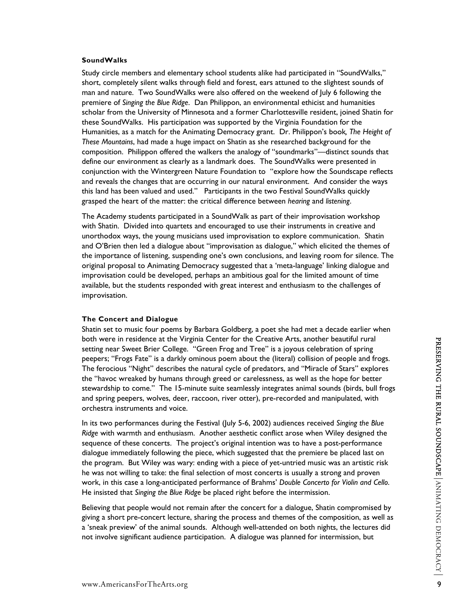#### **SoundWalks**

Study circle members and elementary school students alike had participated in "SoundWalks," short, completely silent walks through field and forest, ears attuned to the slightest sounds of man and nature. Two SoundWalks were also offered on the weekend of July 6 following the premiere of *Singing the Blue Ridge*. Dan Philippon, an environmental ethicist and humanities scholar from the University of Minnesota and a former Charlottesville resident, joined Shatin for these SoundWalks. His participation was supported by the Virginia Foundation for the Humanities, as a match for the Animating Democracy grant. Dr. Philippon's book*, The Height of These Mountains*, had made a huge impact on Shatin as she researched background for the composition. Philippon offered the walkers the analogy of "soundmarks"—distinct sounds that define our environment as clearly as a landmark does. The SoundWalks were presented in conjunction with the Wintergreen Nature Foundation to "explore how the Soundscape reflects and reveals the changes that are occurring in our natural environment. And consider the ways this land has been valued and used." Participants in the two Festival SoundWalks quickly grasped the heart of the matter: the critical difference between *hearing* and *listening*.

The Academy students participated in a SoundWalk as part of their improvisation workshop with Shatin. Divided into quartets and encouraged to use their instruments in creative and unorthodox ways, the young musicians used improvisation to explore communication. Shatin and O'Brien then led a dialogue about "improvisation as dialogue," which elicited the themes of the importance of listening, suspending one's own conclusions, and leaving room for silence. The original proposal to Animating Democracy suggested that a 'meta-language' linking dialogue and improvisation could be developed, perhaps an ambitious goal for the limited amount of time available, but the students responded with great interest and enthusiasm to the challenges of improvisation.

#### **The Concert and Dialogue**

Shatin set to music four poems by Barbara Goldberg, a poet she had met a decade earlier when both were in residence at the Virginia Center for the Creative Arts, another beautiful rural setting near Sweet Brier College. "Green Frog and Tree" is a joyous celebration of spring peepers; "Frogs Fate" is a darkly ominous poem about the (literal) collision of people and frogs. The ferocious "Night" describes the natural cycle of predators, and "Miracle of Stars" explores the "havoc wreaked by humans through greed or carelessness, as well as the hope for better stewardship to come." The 15-minute suite seamlessly integrates animal sounds (birds, bull frogs and spring peepers, wolves, deer, raccoon, river otter), pre-recorded and manipulated, with orchestra instruments and voice.

In its two performances during the Festival (July 5-6, 2002) audiences received *Singing the Blue Ridge* with warmth and enthusiasm. Another aesthetic conflict arose when Wiley designed the sequence of these concerts. The project's original intention was to have a post-performance dialogue immediately following the piece, which suggested that the premiere be placed last on the program. But Wiley was wary: ending with a piece of yet-untried music was an artistic risk he was not willing to take: the final selection of most concerts is usually a strong and proven work, in this case a long-anticipated performance of Brahms' *Double Concerto for Violin and Cello*. He insisted that *Singing the Blue Ridge* be placed right before the intermission.

Believing that people would not remain after the concert for a dialogue, Shatin compromised by giving a short pre-concert lecture, sharing the process and themes of the composition, as well as a 'sneak preview' of the animal sounds. Although well-attended on both nights, the lectures did not involve significant audience participation. A dialogue was planned for intermission, but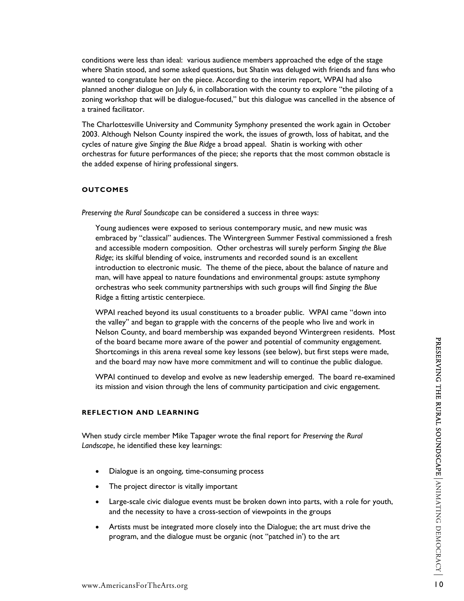conditions were less than ideal: various audience members approached the edge of the stage where Shatin stood, and some asked questions, but Shatin was deluged with friends and fans who wanted to congratulate her on the piece. According to the interim report, WPAI had also planned another dialogue on July 6, in collaboration with the county to explore "the piloting of a zoning workshop that will be dialogue-focused," but this dialogue was cancelled in the absence of a trained facilitator.

The Charlottesville University and Community Symphony presented the work again in October 2003. Although Nelson County inspired the work, the issues of growth, loss of habitat, and the cycles of nature give *Singing the Blue Ridge* a broad appeal. Shatin is working with other orchestras for future performances of the piece; she reports that the most common obstacle is the added expense of hiring professional singers.

#### **OUTCOMES**

*Preserving the Rural Soundscape* can be considered a success in three ways:

Young audiences were exposed to serious contemporary music, and new music was embraced by "classical" audiences. The Wintergreen Summer Festival commissioned a fresh and accessible modern composition. Other orchestras will surely perform *Singing the Blue Ridge*; its skilful blending of voice, instruments and recorded sound is an excellent introduction to electronic music. The theme of the piece, about the balance of nature and man, will have appeal to nature foundations and environmental groups: astute symphony orchestras who seek community partnerships with such groups will find *Singing the Blue* Ridge a fitting artistic centerpiece.

WPAI reached beyond its usual constituents to a broader public. WPAI came "down into the valley" and began to grapple with the concerns of the people who live and work in Nelson County, and board membership was expanded beyond Wintergreen residents. Most of the board became more aware of the power and potential of community engagement. Shortcomings in this arena reveal some key lessons (see below), but first steps were made, and the board may now have more commitment and will to continue the public dialogue.

WPAI continued to develop and evolve as new leadership emerged. The board re-examined its mission and vision through the lens of community participation and civic engagement.

## **REFLECTION AND LEARNING**

When study circle member Mike Tapager wrote the final report for *Preserving the Rural Landscape*, he identified these key learnings:

- Dialogue is an ongoing, time-consuming process
- The project director is vitally important
- Large-scale civic dialogue events must be broken down into parts, with a role for youth, and the necessity to have a cross-section of viewpoints in the groups
- Artists must be integrated more closely into the Dialogue; the art must drive the program, and the dialogue must be organic (not "patched in') to the art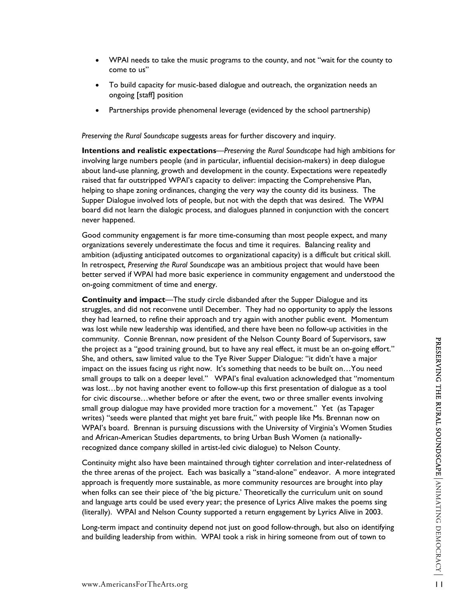- WPAI needs to take the music programs to the county, and not "wait for the county to come to us"
- To build capacity for music-based dialogue and outreach, the organization needs an ongoing [staff] position
- Partnerships provide phenomenal leverage (evidenced by the school partnership)

*Preserving the Rural Soundscape* suggests areas for further discovery and inquiry.

**Intentions and realistic expectations**—*Preserving the Rural Soundscape* had high ambitions for involving large numbers people (and in particular, influential decision-makers) in deep dialogue about land-use planning, growth and development in the county. Expectations were repeatedly raised that far outstripped WPAI's capacity to deliver: impacting the Comprehensive Plan, helping to shape zoning ordinances, changing the very way the county did its business. The Supper Dialogue involved lots of people, but not with the depth that was desired. The WPAI board did not learn the dialogic process, and dialogues planned in conjunction with the concert never happened.

Good community engagement is far more time-consuming than most people expect, and many organizations severely underestimate the focus and time it requires. Balancing reality and ambition (adjusting anticipated outcomes to organizational capacity) is a difficult but critical skill. In retrospect*, Preserving the Rural Soundscape* was an ambitious project that would have been better served if WPAI had more basic experience in community engagement and understood the on-going commitment of time and energy.

**Continuity and impact**—The study circle disbanded after the Supper Dialogue and its struggles, and did not reconvene until December. They had no opportunity to apply the lessons they had learned, to refine their approach and try again with another public event. Momentum was lost while new leadership was identified, and there have been no follow-up activities in the community. Connie Brennan, now president of the Nelson County Board of Supervisors, saw the project as a "good training ground, but to have any real effect, it must be an on-going effort." She, and others, saw limited value to the Tye River Supper Dialogue: "it didn't have a major impact on the issues facing us right now. It's something that needs to be built on…You need small groups to talk on a deeper level." WPAI's final evaluation acknowledged that "momentum was lost…by not having another event to follow-up this first presentation of dialogue as a tool for civic discourse…whether before or after the event, two or three smaller events involving small group dialogue may have provided more traction for a movement." Yet (as Tapager writes) "seeds were planted that might yet bare fruit," with people like Ms. Brennan now on WPAI's board. Brennan is pursuing discussions with the University of Virginia's Women Studies and African-American Studies departments, to bring Urban Bush Women (a nationallyrecognized dance company skilled in artist-led civic dialogue) to Nelson County.

Continuity might also have been maintained through tighter correlation and inter-relatedness of the three arenas of the project. Each was basically a "stand-alone" endeavor. A more integrated approach is frequently more sustainable, as more community resources are brought into play when folks can see their piece of 'the big picture.' Theoretically the curriculum unit on sound and language arts could be used every year; the presence of Lyrics Alive makes the poems sing (literally). WPAI and Nelson County supported a return engagement by Lyrics Alive in 2003.

Long-term impact and continuity depend not just on good follow-through, but also on identifying and building leadership from within. WPAI took a risk in hiring someone from out of town to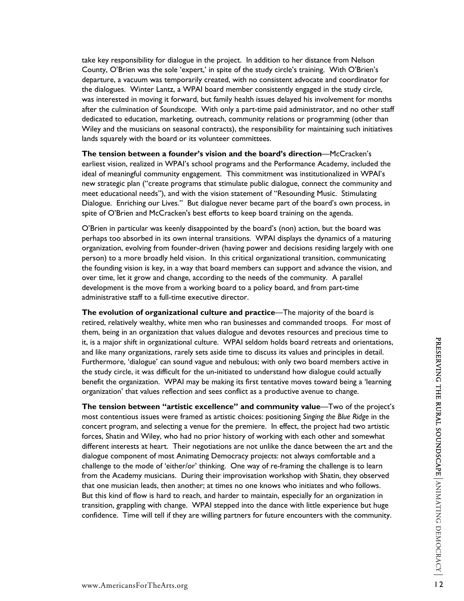take key responsibility for dialogue in the project. In addition to her distance from Nelson County, O'Brien was the sole 'expert,' in spite of the study circle's training. With O'Brien's departure, a vacuum was temporarily created, with no consistent advocate and coordinator for the dialogues. Winter Lantz, a WPAI board member consistently engaged in the study circle, was interested in moving it forward, but family health issues delayed his involvement for months after the culmination of *Soundscape*. With only a part-time paid administrator, and no other staff dedicated to education, marketing, outreach, community relations or programming (other than Wiley and the musicians on seasonal contracts), the responsibility for maintaining such initiatives lands squarely with the board or its volunteer committees.

**The tension between a founder's vision and the board's direction**—McCracken's earliest vision, realized in WPAI's school programs and the Performance Academy, included the ideal of meaningful community engagement. This commitment was institutionalized in WPAI's new strategic plan ("create programs that stimulate public dialogue, connect the community and meet educational needs"), and with the vision statement of "Resounding Music. Stimulating Dialogue. Enriching our Lives." But dialogue never became part of the board's own process, in spite of O'Brien and McCracken's best efforts to keep board training on the agenda.

O'Brien in particular was keenly disappointed by the board's (non) action, but the board was perhaps too absorbed in its own internal transitions. WPAI displays the dynamics of a maturing organization, evolving from founder-driven (having power and decisions residing largely with one person) to a more broadly held vision. In this critical organizational transition, communicating the founding vision is key, in a way that board members can support and advance the vision, and over time, let it grow and change, according to the needs of the community. A parallel development is the move from a working board to a policy board, and from part-time administrative staff to a full-time executive director.

**The evolution of organizational culture and practice**—The majority of the board is retired, relatively wealthy, white men who ran businesses and commanded troops. For most of them, being in an organization that values dialogue and devotes resources and precious time to it, is a major shift in organizational culture. WPAI seldom holds board retreats and orientations, and like many organizations, rarely sets aside time to discuss its values and principles in detail. Furthermore, 'dialogue' can sound vague and nebulous; with only two board members active in the study circle, it was difficult for the un-initiated to understand how dialogue could actually benefit the organization. WPAI may be making its first tentative moves toward being a 'learning organization' that values reflection and sees conflict as a productive avenue to change.

**The tension between "artistic excellence" and community value**—Two of the project's most contentious issues were framed as artistic choices: positioning *Singing the Blue Ridge* in the concert program, and selecting a venue for the premiere. In effect, the project had two artistic forces, Shatin and Wiley, who had no prior history of working with each other and somewhat different interests at heart. Their negotiations are not unlike the dance between the art and the dialogue component of most Animating Democracy projects: not always comfortable and a challenge to the mode of 'either/or' thinking. One way of re-framing the challenge is to learn from the Academy musicians. During their improvisation workshop with Shatin, they observed that one musician leads, then another; at times no one knows who initiates and who follows. But this kind of flow is hard to reach, and harder to maintain, especially for an organization in transition, grappling with change. WPAI stepped into the dance with little experience but huge confidence. Time will tell if they are willing partners for future encounters with the community.